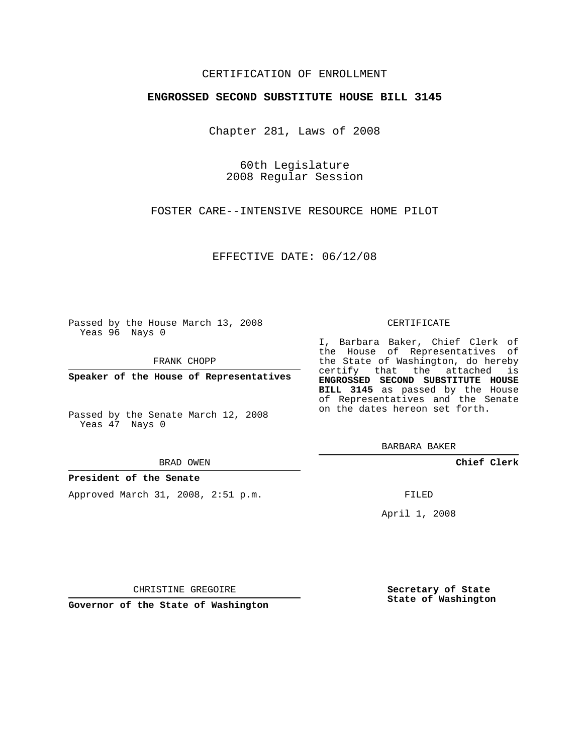## CERTIFICATION OF ENROLLMENT

### **ENGROSSED SECOND SUBSTITUTE HOUSE BILL 3145**

Chapter 281, Laws of 2008

60th Legislature 2008 Regular Session

FOSTER CARE--INTENSIVE RESOURCE HOME PILOT

EFFECTIVE DATE: 06/12/08

Passed by the House March 13, 2008 Yeas 96 Nays 0

FRANK CHOPP

**Speaker of the House of Representatives**

Passed by the Senate March 12, 2008 Yeas 47 Nays 0

BRAD OWEN

## **President of the Senate**

Approved March 31, 2008, 2:51 p.m.

#### CERTIFICATE

I, Barbara Baker, Chief Clerk of the House of Representatives of the State of Washington, do hereby certify that the attached is **ENGROSSED SECOND SUBSTITUTE HOUSE BILL 3145** as passed by the House of Representatives and the Senate on the dates hereon set forth.

BARBARA BAKER

**Chief Clerk**

FILED

April 1, 2008

**Secretary of State State of Washington**

CHRISTINE GREGOIRE

**Governor of the State of Washington**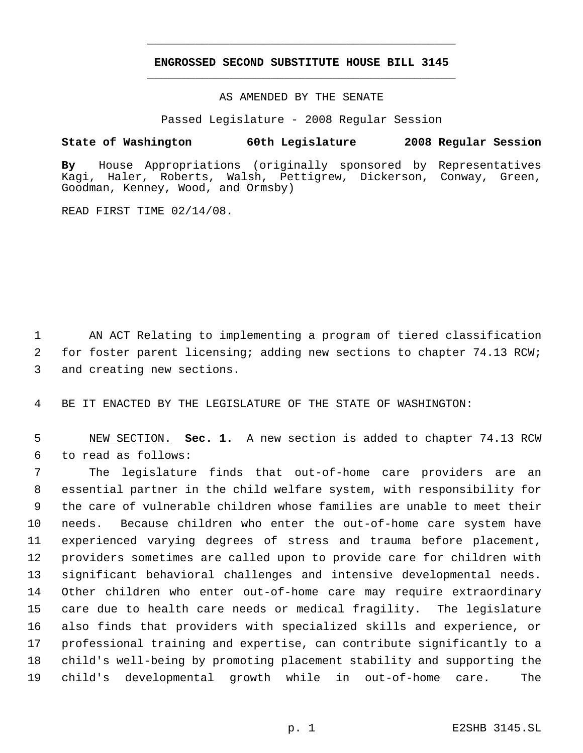# **ENGROSSED SECOND SUBSTITUTE HOUSE BILL 3145** \_\_\_\_\_\_\_\_\_\_\_\_\_\_\_\_\_\_\_\_\_\_\_\_\_\_\_\_\_\_\_\_\_\_\_\_\_\_\_\_\_\_\_\_\_

\_\_\_\_\_\_\_\_\_\_\_\_\_\_\_\_\_\_\_\_\_\_\_\_\_\_\_\_\_\_\_\_\_\_\_\_\_\_\_\_\_\_\_\_\_

AS AMENDED BY THE SENATE

Passed Legislature - 2008 Regular Session

## **State of Washington 60th Legislature 2008 Regular Session**

**By** House Appropriations (originally sponsored by Representatives Kagi, Haler, Roberts, Walsh, Pettigrew, Dickerson, Conway, Green, Goodman, Kenney, Wood, and Ormsby)

READ FIRST TIME 02/14/08.

 AN ACT Relating to implementing a program of tiered classification for foster parent licensing; adding new sections to chapter 74.13 RCW; and creating new sections.

BE IT ENACTED BY THE LEGISLATURE OF THE STATE OF WASHINGTON:

 NEW SECTION. **Sec. 1.** A new section is added to chapter 74.13 RCW to read as follows:

 The legislature finds that out-of-home care providers are an essential partner in the child welfare system, with responsibility for the care of vulnerable children whose families are unable to meet their needs. Because children who enter the out-of-home care system have experienced varying degrees of stress and trauma before placement, providers sometimes are called upon to provide care for children with significant behavioral challenges and intensive developmental needs. Other children who enter out-of-home care may require extraordinary care due to health care needs or medical fragility. The legislature also finds that providers with specialized skills and experience, or professional training and expertise, can contribute significantly to a child's well-being by promoting placement stability and supporting the child's developmental growth while in out-of-home care. The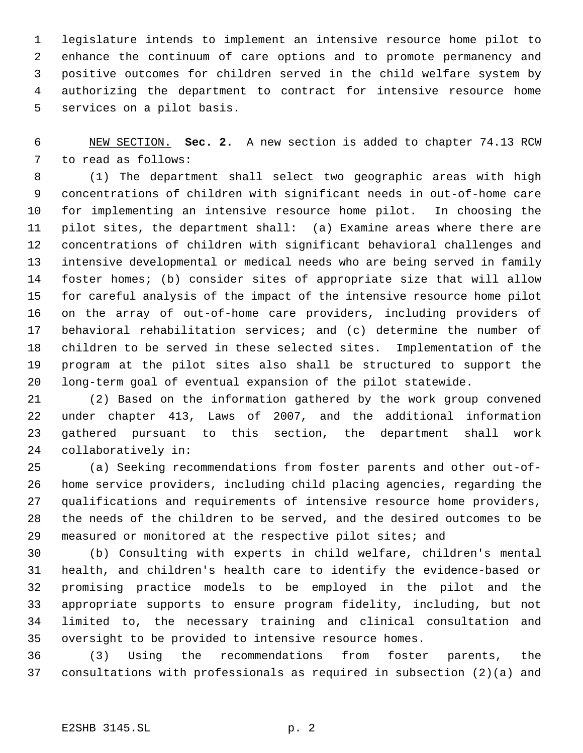legislature intends to implement an intensive resource home pilot to enhance the continuum of care options and to promote permanency and positive outcomes for children served in the child welfare system by authorizing the department to contract for intensive resource home services on a pilot basis.

 NEW SECTION. **Sec. 2.** A new section is added to chapter 74.13 RCW to read as follows:

 (1) The department shall select two geographic areas with high concentrations of children with significant needs in out-of-home care for implementing an intensive resource home pilot. In choosing the pilot sites, the department shall: (a) Examine areas where there are concentrations of children with significant behavioral challenges and intensive developmental or medical needs who are being served in family foster homes; (b) consider sites of appropriate size that will allow for careful analysis of the impact of the intensive resource home pilot on the array of out-of-home care providers, including providers of behavioral rehabilitation services; and (c) determine the number of children to be served in these selected sites. Implementation of the program at the pilot sites also shall be structured to support the long-term goal of eventual expansion of the pilot statewide.

 (2) Based on the information gathered by the work group convened under chapter 413, Laws of 2007, and the additional information gathered pursuant to this section, the department shall work collaboratively in:

 (a) Seeking recommendations from foster parents and other out-of- home service providers, including child placing agencies, regarding the qualifications and requirements of intensive resource home providers, the needs of the children to be served, and the desired outcomes to be measured or monitored at the respective pilot sites; and

 (b) Consulting with experts in child welfare, children's mental health, and children's health care to identify the evidence-based or promising practice models to be employed in the pilot and the appropriate supports to ensure program fidelity, including, but not limited to, the necessary training and clinical consultation and oversight to be provided to intensive resource homes.

 (3) Using the recommendations from foster parents, the consultations with professionals as required in subsection (2)(a) and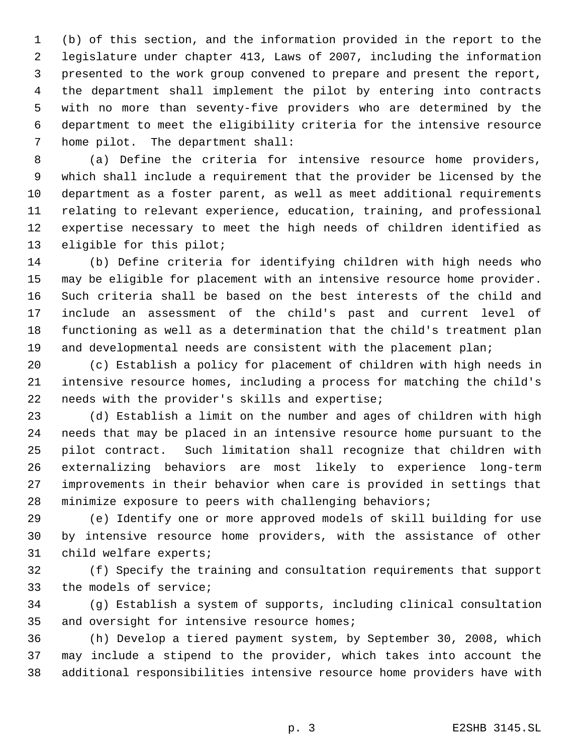(b) of this section, and the information provided in the report to the legislature under chapter 413, Laws of 2007, including the information presented to the work group convened to prepare and present the report, the department shall implement the pilot by entering into contracts with no more than seventy-five providers who are determined by the department to meet the eligibility criteria for the intensive resource home pilot. The department shall:

 (a) Define the criteria for intensive resource home providers, which shall include a requirement that the provider be licensed by the department as a foster parent, as well as meet additional requirements relating to relevant experience, education, training, and professional expertise necessary to meet the high needs of children identified as eligible for this pilot;

 (b) Define criteria for identifying children with high needs who may be eligible for placement with an intensive resource home provider. Such criteria shall be based on the best interests of the child and include an assessment of the child's past and current level of functioning as well as a determination that the child's treatment plan 19 and developmental needs are consistent with the placement plan;

 (c) Establish a policy for placement of children with high needs in intensive resource homes, including a process for matching the child's needs with the provider's skills and expertise;

 (d) Establish a limit on the number and ages of children with high needs that may be placed in an intensive resource home pursuant to the pilot contract. Such limitation shall recognize that children with externalizing behaviors are most likely to experience long-term improvements in their behavior when care is provided in settings that minimize exposure to peers with challenging behaviors;

 (e) Identify one or more approved models of skill building for use by intensive resource home providers, with the assistance of other child welfare experts;

 (f) Specify the training and consultation requirements that support the models of service;

 (g) Establish a system of supports, including clinical consultation 35 and oversight for intensive resource homes;

 (h) Develop a tiered payment system, by September 30, 2008, which may include a stipend to the provider, which takes into account the additional responsibilities intensive resource home providers have with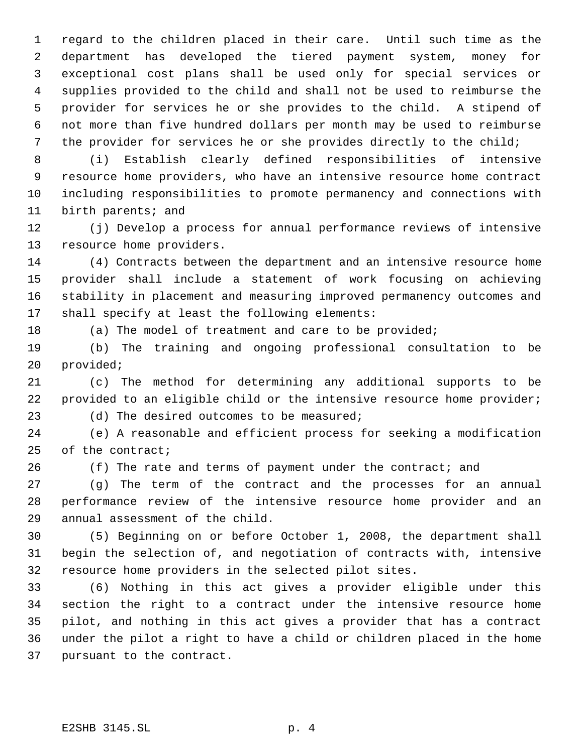regard to the children placed in their care. Until such time as the department has developed the tiered payment system, money for exceptional cost plans shall be used only for special services or supplies provided to the child and shall not be used to reimburse the provider for services he or she provides to the child. A stipend of not more than five hundred dollars per month may be used to reimburse the provider for services he or she provides directly to the child;

 (i) Establish clearly defined responsibilities of intensive resource home providers, who have an intensive resource home contract including responsibilities to promote permanency and connections with birth parents; and

 (j) Develop a process for annual performance reviews of intensive resource home providers.

 (4) Contracts between the department and an intensive resource home provider shall include a statement of work focusing on achieving stability in placement and measuring improved permanency outcomes and shall specify at least the following elements:

18 (a) The model of treatment and care to be provided;

 (b) The training and ongoing professional consultation to be provided;

 (c) The method for determining any additional supports to be 22 provided to an eligible child or the intensive resource home provider; (d) The desired outcomes to be measured;

 (e) A reasonable and efficient process for seeking a modification of the contract;

26 (f) The rate and terms of payment under the contract; and

 (g) The term of the contract and the processes for an annual performance review of the intensive resource home provider and an annual assessment of the child.

 (5) Beginning on or before October 1, 2008, the department shall begin the selection of, and negotiation of contracts with, intensive resource home providers in the selected pilot sites.

 (6) Nothing in this act gives a provider eligible under this section the right to a contract under the intensive resource home pilot, and nothing in this act gives a provider that has a contract under the pilot a right to have a child or children placed in the home pursuant to the contract.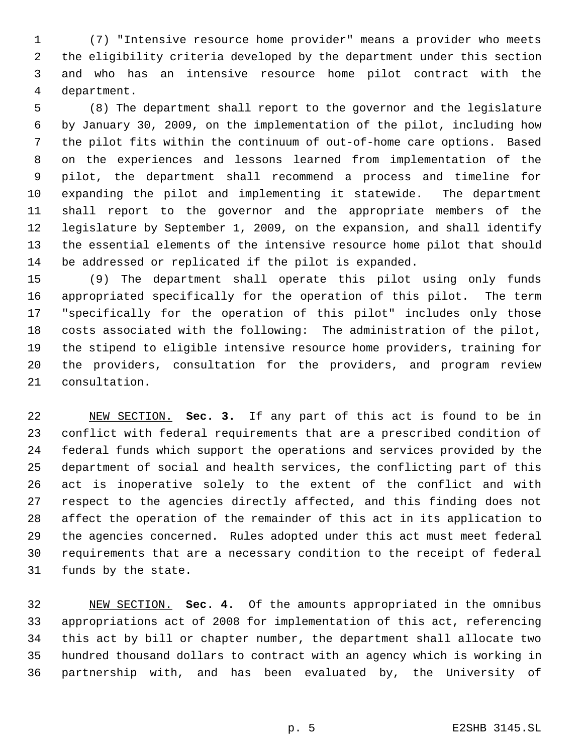(7) "Intensive resource home provider" means a provider who meets the eligibility criteria developed by the department under this section and who has an intensive resource home pilot contract with the department.

 (8) The department shall report to the governor and the legislature by January 30, 2009, on the implementation of the pilot, including how the pilot fits within the continuum of out-of-home care options. Based on the experiences and lessons learned from implementation of the pilot, the department shall recommend a process and timeline for expanding the pilot and implementing it statewide. The department shall report to the governor and the appropriate members of the legislature by September 1, 2009, on the expansion, and shall identify the essential elements of the intensive resource home pilot that should be addressed or replicated if the pilot is expanded.

 (9) The department shall operate this pilot using only funds appropriated specifically for the operation of this pilot. The term "specifically for the operation of this pilot" includes only those costs associated with the following: The administration of the pilot, the stipend to eligible intensive resource home providers, training for the providers, consultation for the providers, and program review consultation.

 NEW SECTION. **Sec. 3.** If any part of this act is found to be in conflict with federal requirements that are a prescribed condition of federal funds which support the operations and services provided by the department of social and health services, the conflicting part of this act is inoperative solely to the extent of the conflict and with respect to the agencies directly affected, and this finding does not affect the operation of the remainder of this act in its application to the agencies concerned. Rules adopted under this act must meet federal requirements that are a necessary condition to the receipt of federal funds by the state.

 NEW SECTION. **Sec. 4.** Of the amounts appropriated in the omnibus appropriations act of 2008 for implementation of this act, referencing this act by bill or chapter number, the department shall allocate two hundred thousand dollars to contract with an agency which is working in partnership with, and has been evaluated by, the University of